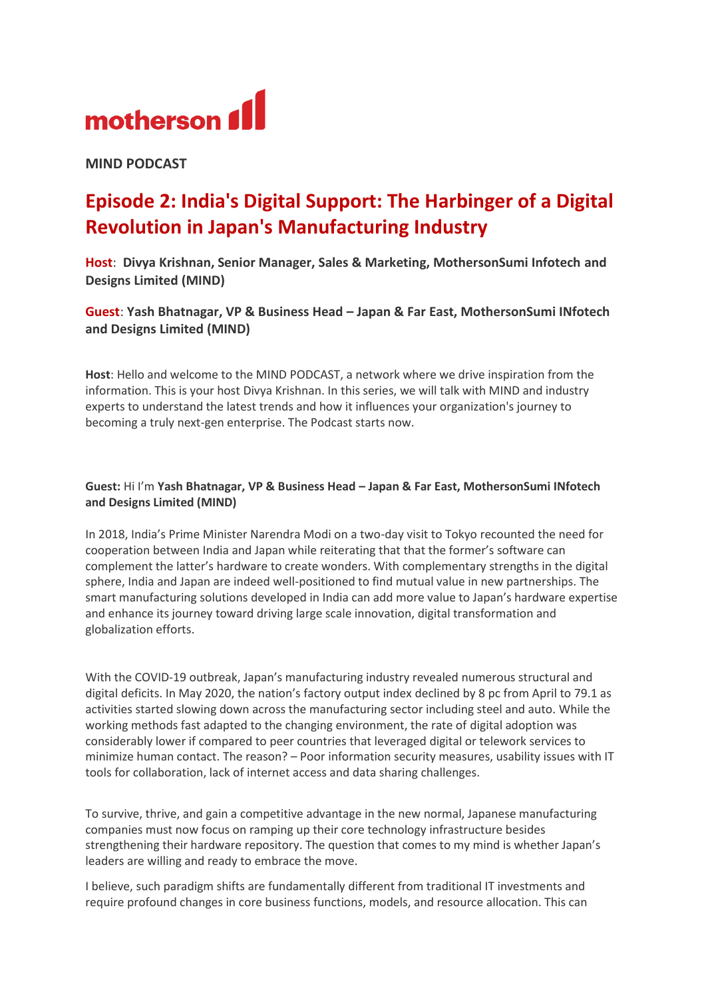

**MIND PODCAST** 

## **Episode 2: India's Digital Support: The Harbinger of a Digital Revolution in Japan's Manufacturing Industry**

**Host**: **Divya Krishnan, Senior Manager, Sales & Marketing, MothersonSumi Infotech and Designs Limited (MIND)**

**Guest**: **Yash Bhatnagar, VP & Business Head – Japan & Far East, MothersonSumi INfotech and Designs Limited (MIND)**

**Host**: Hello and welcome to the MIND PODCAST, a network where we drive inspiration from the information. This is your host Divya Krishnan. In this series, we will talk with MIND and industry experts to understand the latest trends and how it influences your organization's journey to becoming a truly next-gen enterprise. The Podcast starts now.

## **Guest:** Hi I'm **Yash Bhatnagar, VP & Business Head – Japan & Far East, MothersonSumi INfotech and Designs Limited (MIND)**

In 2018, India's Prime Minister Narendra Modi on a two-day visit to Tokyo recounted the need for cooperation between India and Japan while reiterating that that the former's software can complement the latter's hardware to create wonders. With complementary strengths in the digital sphere, India and Japan are indeed well-positioned to find mutual value in new partnerships. The smart manufacturing solutions developed in India can add more value to Japan's hardware expertise and enhance its journey toward driving large scale innovation, digital transformation and globalization efforts.

With the COVID-19 outbreak, Japan's manufacturing industry revealed numerous structural and digital deficits. In May 2020, the nation's factory output index declined by 8 pc from April to 79.1 as activities started slowing down across the manufacturing sector including steel and auto. While the working methods fast adapted to the changing environment, the rate of [digital adoption was](https://www.nri.com/-/media/Corporate/en/Files/PDF/knowledge/report/cc/digital_economy/20210216_1.pdf?la=en&hash=26D8BCD34A127F4A569035DB282FCEA6FB3A87EF)  [considerably lower if compared to peer countries](https://www.nri.com/-/media/Corporate/en/Files/PDF/knowledge/report/cc/digital_economy/20210216_1.pdf?la=en&hash=26D8BCD34A127F4A569035DB282FCEA6FB3A87EF) that leveraged digital or telework services to minimize human contact. [The reason?](https://www.nippon.com/en/japan-data/h01004/) – Poor information security measures, usability issues with IT tools for collaboration, lack of internet access and data sharing challenges.

To survive, thrive, and gain a competitive advantage in the new normal, Japanese manufacturing companies must now focus on ramping up their core technology infrastructure besides strengthening their hardware repository. The question that comes to my mind is whether Japan's leaders are willing and ready to embrace the move.

I believe, such paradigm shifts are fundamentally different from traditional IT investments and require profound changes in core business functions, models, and resource allocation. This can